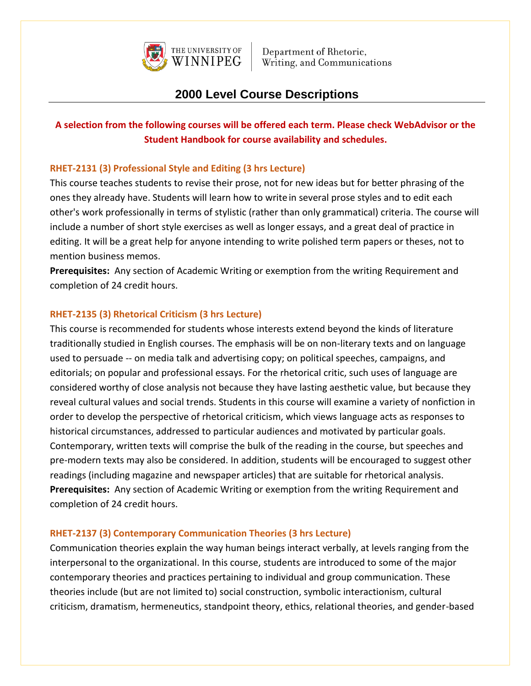

## **2000 Level Course Descriptions**

### **A selection from the following courses will be offered each term. Please check WebAdvisor or the Student Handbook for course availability and schedules.**

### **RHET-2131 (3) Professional Style and Editing (3 hrs Lecture)**

This course teaches students to revise their prose, not for new ideas but for better phrasing of the ones they already have. Students will learn how to writein several prose styles and to edit each other's work professionally in terms of stylistic (rather than only grammatical) criteria. The course will include a number of short style exercises as well as longer essays, and a great deal of practice in editing. It will be a great help for anyone intending to write polished term papers or theses, not to mention business memos.

**Prerequisites:** Any section of Academic Writing or exemption from the writing Requirement and completion of 24 credit hours.

### **RHET-2135 (3) Rhetorical Criticism (3 hrs Lecture)**

This course is recommended for students whose interests extend beyond the kinds of literature traditionally studied in English courses. The emphasis will be on non-literary texts and on language used to persuade -- on media talk and advertising copy; on political speeches, campaigns, and editorials; on popular and professional essays. For the rhetorical critic, such uses of language are considered worthy of close analysis not because they have lasting aesthetic value, but because they reveal cultural values and social trends. Students in this course will examine a variety of nonfiction in order to develop the perspective of rhetorical criticism, which views language acts as responses to historical circumstances, addressed to particular audiences and motivated by particular goals. Contemporary, written texts will comprise the bulk of the reading in the course, but speeches and pre-modern texts may also be considered. In addition, students will be encouraged to suggest other readings (including magazine and newspaper articles) that are suitable for rhetorical analysis. **Prerequisites:** Any section of Academic Writing or exemption from the writing Requirement and completion of 24 credit hours.

### **RHET-2137 (3) Contemporary Communication Theories (3 hrs Lecture)**

Communication theories explain the way human beings interact verbally, at levels ranging from the interpersonal to the organizational. In this course, students are introduced to some of the major contemporary theories and practices pertaining to individual and group communication. These theories include (but are not limited to) social construction, symbolic interactionism, cultural criticism, dramatism, hermeneutics, standpoint theory, ethics, relational theories, and gender-based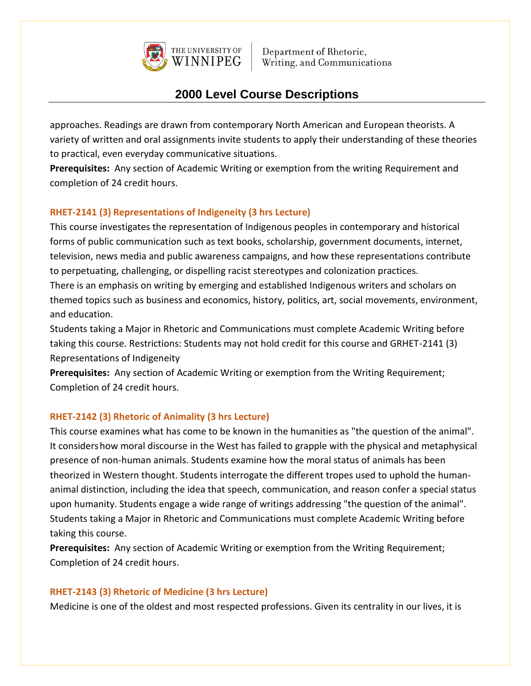

# **2000 Level Course Descriptions**

approaches. Readings are drawn from contemporary North American and European theorists. A variety of written and oral assignments invite students to apply their understanding of these theories to practical, even everyday communicative situations.

**Prerequisites:** Any section of Academic Writing or exemption from the writing Requirement and completion of 24 credit hours.

### **RHET-2141 (3) Representations of Indigeneity (3 hrs Lecture)**

This course investigates the representation of Indigenous peoples in contemporary and historical forms of public communication such as text books, scholarship, government documents, internet, television, news media and public awareness campaigns, and how these representations contribute to perpetuating, challenging, or dispelling racist stereotypes and colonization practices.

There is an emphasis on writing by emerging and established Indigenous writers and scholars on themed topics such as business and economics, history, politics, art, social movements, environment, and education.

Students taking a Major in Rhetoric and Communications must complete Academic Writing before taking this course. Restrictions: Students may not hold credit for this course and GRHET-2141 (3) Representations of Indigeneity

**Prerequisites:** Any section of Academic Writing or exemption from the Writing Requirement; Completion of 24 credit hours.

### **RHET-2142 (3) Rhetoric of Animality (3 hrs Lecture)**

This course examines what has come to be known in the humanities as "the question of the animal". It considershow moral discourse in the West has failed to grapple with the physical and metaphysical presence of non-human animals. Students examine how the moral status of animals has been theorized in Western thought. Students interrogate the different tropes used to uphold the humananimal distinction, including the idea that speech, communication, and reason confer a special status upon humanity. Students engage a wide range of writings addressing "the question of the animal". Students taking a Major in Rhetoric and Communications must complete Academic Writing before taking this course.

**Prerequisites:** Any section of Academic Writing or exemption from the Writing Requirement; Completion of 24 credit hours.

### **RHET-2143 (3) Rhetoric of Medicine (3 hrs Lecture)**

Medicine is one of the oldest and most respected professions. Given its centrality in our lives, it is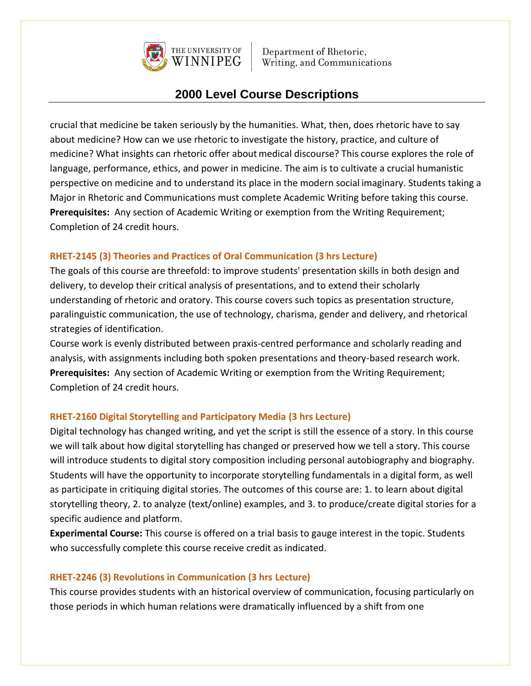

### **2000 Level Course Descriptions**

crucial that medicine be taken seriously by the humanities. What, then, does rhetoric have to say about medicine? How can we use rhetoric to investigate the history, practice, and culture of medicine? What insights can rhetoric offer about medical discourse? This course explores the role of language, performance, ethics, and power in medicine. The aim is to cultivate a crucial humanistic perspective on medicine and to understand its place in the modern social imaginary. Students taking a Major in Rhetoric and Communications must complete Academic Writing before taking this course. **Prerequisites:** Any section of Academic Writing or exemption from the Writing Requirement; Completion of 24 credit hours.

### **RHET-2145 (3) Theories and Practices of Oral Communication (3 hrs Lecture)**

The goals of this course are threefold: to improve students' presentation skills in both design and delivery, to develop their critical analysis of presentations, and to extend their scholarly understanding of rhetoric and oratory. This course covers such topics as presentation structure, paralinguistic communication, the use of technology, charisma, gender and delivery, and rhetorical strategies of identification.

Course work is evenly distributed between praxis-centred performance and scholarly reading and analysis, with assignments including both spoken presentations and theory-based research work. **Prerequisites:** Any section of Academic Writing or exemption from the Writing Requirement; Completion of 24 credit hours.

### **RHET-2160 Digital Storytelling and Participatory Media (3 hrs Lecture)**

Digital technology has changed writing, and yet the script is still the essence of a story. In this course we will talk about how digital storytelling has changed or preserved how we tell a story. This course will introduce students to digital story composition including personal autobiography and biography. Students will have the opportunity to incorporate storytelling fundamentals in a digital form, as well as participate in critiquing digital stories. The outcomes of this course are: 1. to learn about digital storytelling theory, 2. to analyze (text/online) examples, and 3. to produce/create digital stories for a specific audience and platform.

**Experimental Course:** This course is offered on a trial basis to gauge interest in the topic. Students who successfully complete this course receive credit as indicated.

### **RHET-2246 (3) Revolutions in Communication (3 hrs Lecture)**

This course provides students with an historical overview of communication, focusing particularly on those periods in which human relations were dramatically influenced by a shift from one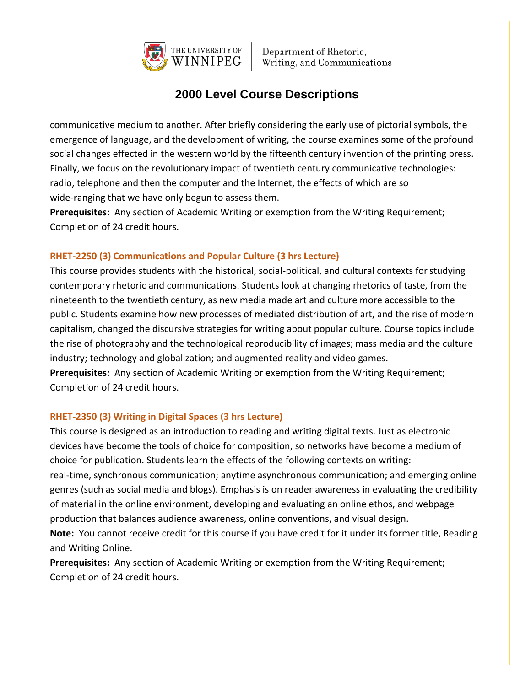

### **2000 Level Course Descriptions**

communicative medium to another. After briefly considering the early use of pictorial symbols, the emergence of language, and thedevelopment of writing, the course examines some of the profound social changes effected in the western world by the fifteenth century invention of the printing press. Finally, we focus on the revolutionary impact of twentieth century communicative technologies: radio, telephone and then the computer and the Internet, the effects of which are so wide-ranging that we have only begun to assess them.

**Prerequisites:** Any section of Academic Writing or exemption from the Writing Requirement; Completion of 24 credit hours.

#### **RHET-2250 (3) Communications and Popular Culture (3 hrs Lecture)**

This course provides students with the historical, social-political, and cultural contexts for studying contemporary rhetoric and communications. Students look at changing rhetorics of taste, from the nineteenth to the twentieth century, as new media made art and culture more accessible to the public. Students examine how new processes of mediated distribution of art, and the rise of modern capitalism, changed the discursive strategies for writing about popular culture. Course topics include the rise of photography and the technological reproducibility of images; mass media and the culture industry; technology and globalization; and augmented reality and video games.

**Prerequisites:** Any section of Academic Writing or exemption from the Writing Requirement; Completion of 24 credit hours.

#### **RHET-2350 (3) Writing in Digital Spaces (3 hrs Lecture)**

This course is designed as an introduction to reading and writing digital texts. Just as electronic devices have become the tools of choice for composition, so networks have become a medium of choice for publication. Students learn the effects of the following contexts on writing: real-time, synchronous communication; anytime asynchronous communication; and emerging online genres (such as social media and blogs). Emphasis is on reader awareness in evaluating the credibility of material in the online environment, developing and evaluating an online ethos, and webpage production that balances audience awareness, online conventions, and visual design.

**Note:** You cannot receive credit for this course if you have credit for it under its former title, Reading and Writing Online.

**Prerequisites:** Any section of Academic Writing or exemption from the Writing Requirement; Completion of 24 credit hours.